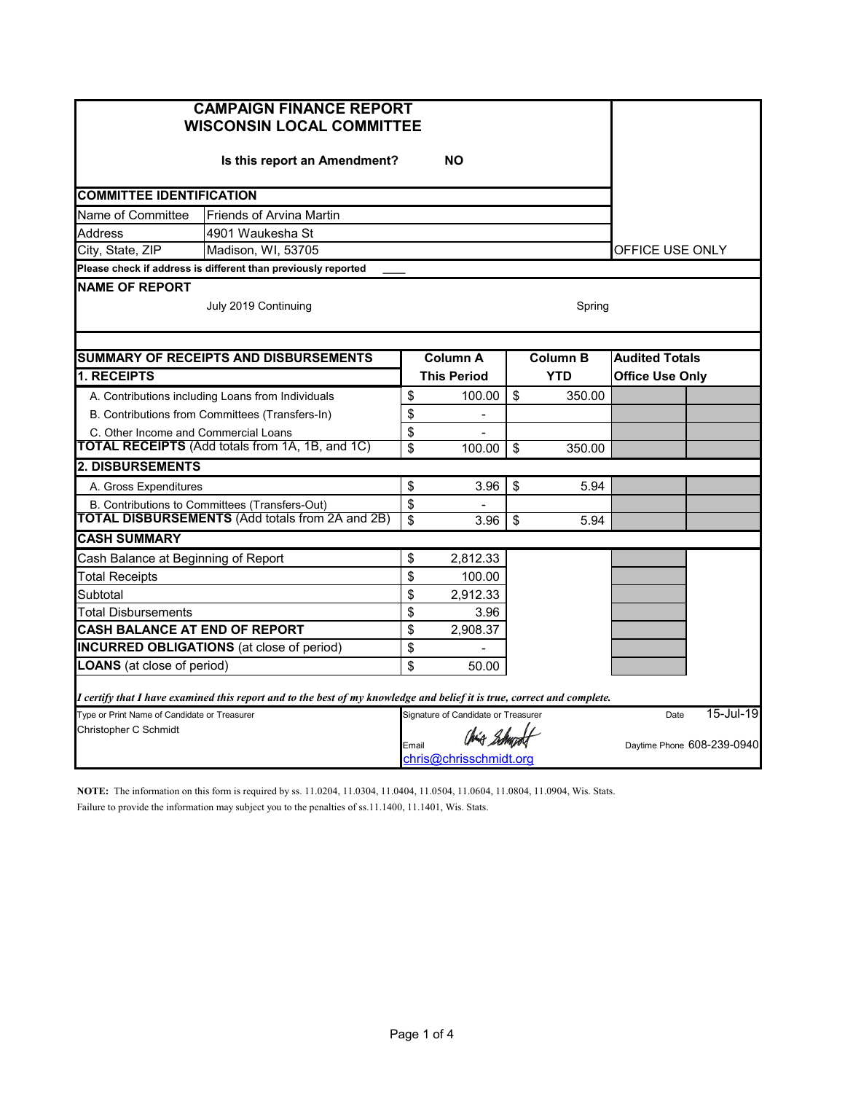| <b>CAMPAIGN FINANCE REPORT</b><br><b>WISCONSIN LOCAL COMMITTEE</b>                                                      |                 |                                     |                 |            |                        |                            |
|-------------------------------------------------------------------------------------------------------------------------|-----------------|-------------------------------------|-----------------|------------|------------------------|----------------------------|
| Is this report an Amendment?                                                                                            |                 |                                     |                 |            |                        |                            |
| <b>COMMITTEE IDENTIFICATION</b>                                                                                         |                 |                                     |                 |            |                        |                            |
| Name of Committee<br><b>Friends of Arvina Martin</b>                                                                    |                 |                                     |                 |            |                        |                            |
| <b>Address</b><br>4901 Waukesha St                                                                                      |                 |                                     |                 |            |                        |                            |
| City, State, ZIP<br>Madison, WI, 53705                                                                                  |                 | OFFICE USE ONLY                     |                 |            |                        |                            |
| Please check if address is different than previously reported                                                           |                 |                                     |                 |            |                        |                            |
| <b>NAME OF REPORT</b><br>July 2019 Continuing                                                                           |                 |                                     |                 | Spring     |                        |                            |
|                                                                                                                         |                 |                                     |                 |            |                        |                            |
| <b>SUMMARY OF RECEIPTS AND DISBURSEMENTS</b>                                                                            | <b>Column A</b> |                                     | <b>Column B</b> |            | <b>Audited Totals</b>  |                            |
| <b>1. RECEIPTS</b>                                                                                                      |                 | <b>This Period</b>                  |                 | <b>YTD</b> | <b>Office Use Only</b> |                            |
| A. Contributions including Loans from Individuals                                                                       | \$              | 100.00                              | \$              | 350.00     |                        |                            |
| B. Contributions from Committees (Transfers-In)                                                                         | \$              | $\overline{\phantom{a}}$            |                 |            |                        |                            |
| C. Other Income and Commercial Loans<br><b>TOTAL RECEIPTS</b> (Add totals from 1A, 1B, and 1C)                          | \$<br>\$        | $\overline{\phantom{0}}$            |                 |            |                        |                            |
| <b>2. DISBURSEMENTS</b>                                                                                                 |                 | 100.00                              | \$              | 350.00     |                        |                            |
|                                                                                                                         |                 |                                     |                 |            |                        |                            |
| A. Gross Expenditures                                                                                                   | \$              | 3.96                                | \$              | 5.94       |                        |                            |
| B. Contributions to Committees (Transfers-Out)<br><b>TOTAL DISBURSEMENTS (Add totals from 2A and 2B)</b>                | \$<br>\$        | 3.96                                | \$              | 5.94       |                        |                            |
| <b>CASH SUMMARY</b>                                                                                                     |                 |                                     |                 |            |                        |                            |
| Cash Balance at Beginning of Report                                                                                     | \$              | 2,812.33                            |                 |            |                        |                            |
| <b>Total Receipts</b>                                                                                                   | \$              | 100.00                              |                 |            |                        |                            |
| Subtotal                                                                                                                | \$              | 2,912.33                            |                 |            |                        |                            |
| Total Disbursements                                                                                                     | \$              | 3.96                                |                 |            |                        |                            |
| <b>CASH BALANCE AT END OF REPORT</b>                                                                                    | \$              | 2,908.37                            |                 |            |                        |                            |
| <b>INCURRED OBLIGATIONS</b> (at close of period)                                                                        | \$              |                                     |                 |            |                        |                            |
| <b>LOANS</b> (at close of period)                                                                                       | \$              | 50.00                               |                 |            |                        |                            |
| I certify that I have examined this report and to the best of my knowledge and belief it is true, correct and complete. |                 |                                     |                 |            |                        |                            |
| Type or Print Name of Candidate or Treasurer                                                                            |                 | Signature of Candidate or Treasurer |                 |            | Date                   | 15-Jul-19                  |
| Christopher C Schmidt                                                                                                   | Email           | Chia Schundt                        |                 |            |                        | Daytime Phone 608-239-0940 |
|                                                                                                                         |                 |                                     |                 |            |                        |                            |

**NOTE:** The information on this form is required by ss. 11.0204, 11.0304, 11.0404, 11.0504, 11.0604, 11.0804, 11.0904, Wis. Stats. Failure to provide the information may subject you to the penalties of ss.11.1400, 11.1401, Wis. Stats.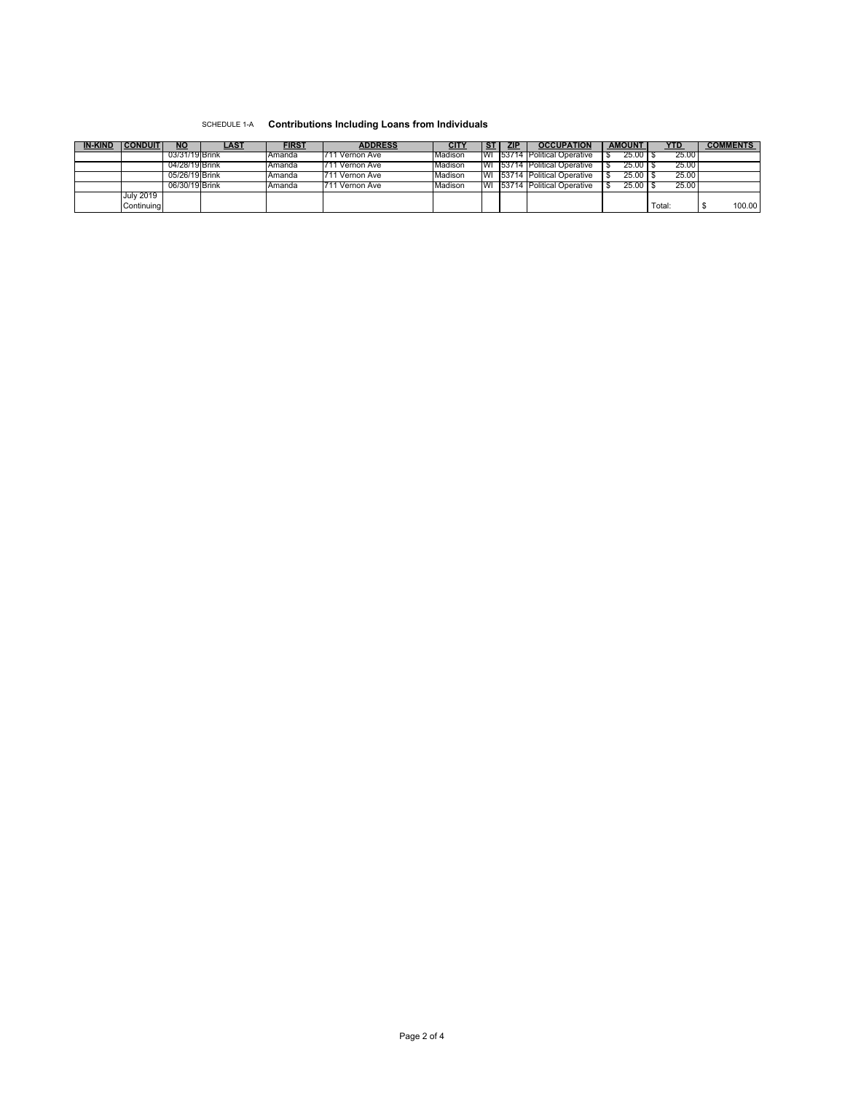## SCHEDULE 1-A **Contributions Including Loans from Individuals**

| <b>IN-KIND</b> | <b>CONDUIT</b>   | <b>NO</b>      | LAST | <b>FIRST</b> | <b>ADDRESS</b>  |                |      | <b>ZIP</b> | <b>OCCUPATION</b>                      | <b>AMOUNT</b> | YTD    | <b>COMMENTS</b> |
|----------------|------------------|----------------|------|--------------|-----------------|----------------|------|------------|----------------------------------------|---------------|--------|-----------------|
|                |                  | 03/31/19 Brink |      | Amanda       | 1711 Vernon Ave | <b>Madison</b> |      |            | <b>WI 153714 IPolitical Operative</b>  | 25.00         | 25.00  |                 |
|                |                  | 04/28/19 Brink |      | Amanda       | 711 Vernon Ave  | Madison        |      |            | WI 53714 Political Operative           | $25.00$ S     | 25.00  |                 |
|                |                  | 05/26/19 Brink |      | Amanda       | I711 Vernon Ave | <b>Madison</b> |      |            | <b>IWI 153714 IPolitical Operative</b> | 25.00         | 25.00  |                 |
|                |                  | 06/30/19 Brink |      | Amanda       | ∣ Vernon Ave    | <b>Madison</b> | l WI |            | - 153714 Political Operative           | 25.00 T       | 25.00  |                 |
|                | <b>July 2019</b> |                |      |              |                 |                |      |            |                                        |               |        |                 |
|                | Continuina       |                |      |              |                 |                |      |            |                                        |               | Total: | 100.00          |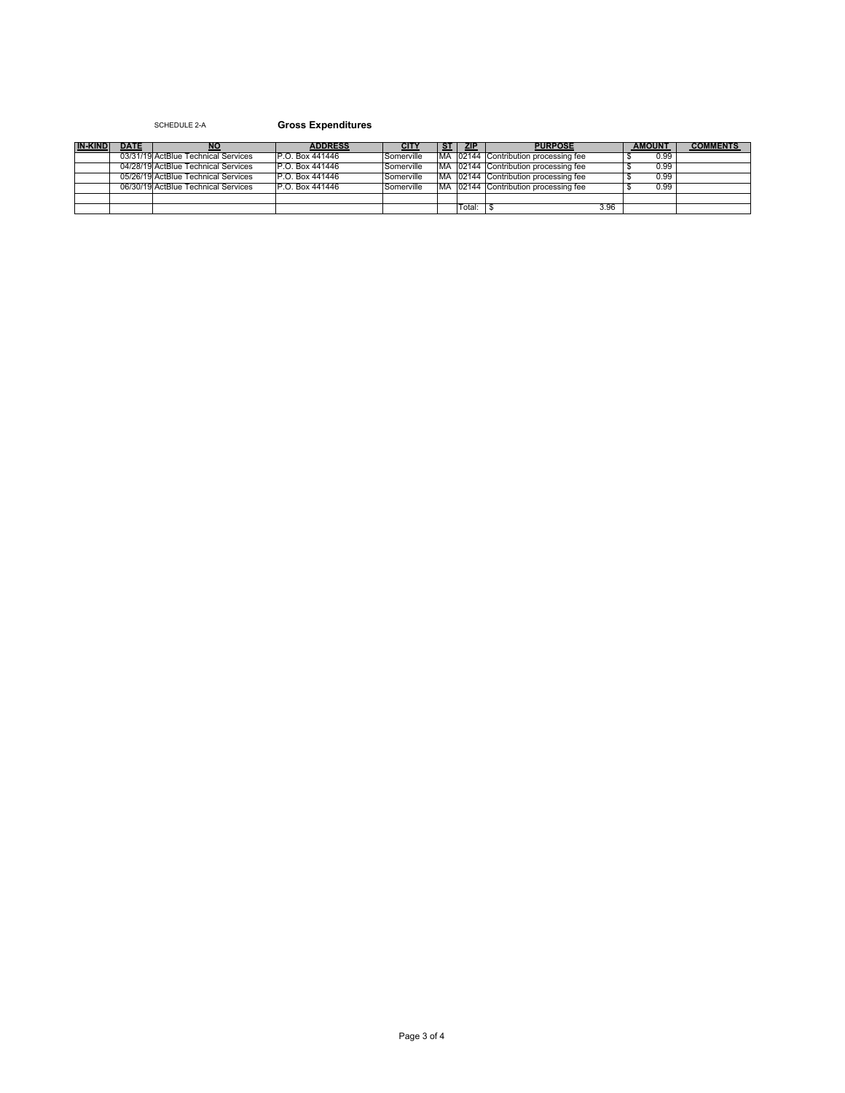## SCHEDULE 2-A **Gross Expenditures**

| <b>IN-KIND</b> | <b>DATE</b> | <b>NO</b>                           | <b>ADDRESS</b>   | CITY       | SТ | <b>ZIP</b> | <b>PURPOSE</b>                        | <b>AMOUNT</b> | <b>COMMENTS</b> |
|----------------|-------------|-------------------------------------|------------------|------------|----|------------|---------------------------------------|---------------|-----------------|
|                |             | 03/31/19 ActBlue Technical Services | IP.O. Box 441446 | Somerville |    |            | MA 02144 Contribution processing fee  | 0.99          |                 |
|                |             | 04/28/19 ActBlue Technical Services | IP.O. Box 441446 | Somerville |    |            | MA 02144 Contribution processing fee  | 0.99          |                 |
|                |             | 05/26/19 ActBlue Technical Services | P.O. Box 441446  | Somerville |    |            | MA 102144 Contribution processing fee | 0.99          |                 |
|                |             | 06/30/19 ActBlue Technical Services | P.O. Box 441446  | Somerville |    |            | MA 102144 Contribution processing fee | 0.99          |                 |
|                |             |                                     |                  |            |    |            |                                       |               |                 |
|                |             |                                     |                  |            |    | Total:     | 3.96                                  |               |                 |